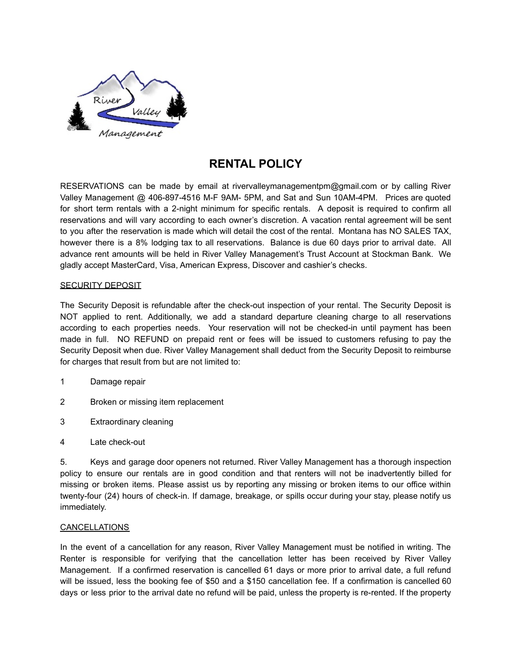

# **RENTAL POLICY**

RESERVATIONS can be made by email at rivervalleymanagementpm@gmail.com or by calling River Valley Management @ 406-897-4516 M-F 9AM- 5PM, and Sat and Sun 10AM-4PM. Prices are quoted for short term rentals with a 2-night minimum for specific rentals. A deposit is required to confirm all reservations and will vary according to each owner's discretion. A vacation rental agreement will be sent to you after the reservation is made which will detail the cost of the rental. Montana has NO SALES TAX, however there is a 8% lodging tax to all reservations. Balance is due 60 days prior to arrival date. All advance rent amounts will be held in River Valley Management's Trust Account at Stockman Bank. We gladly accept MasterCard, Visa, American Express, Discover and cashier's checks.

## SECURITY DEPOSIT

The Security Deposit is refundable after the check-out inspection of your rental. The Security Deposit is NOT applied to rent. Additionally, we add a standard departure cleaning charge to all reservations according to each properties needs. Your reservation will not be checked-in until payment has been made in full. NO REFUND on prepaid rent or fees will be issued to customers refusing to pay the Security Deposit when due. River Valley Management shall deduct from the Security Deposit to reimburse for charges that result from but are not limited to:

- 1 Damage repair
- 2 Broken or missing item replacement
- 3 Extraordinary cleaning
- 4 Late check-out

5. Keys and garage door openers not returned. River Valley Management has a thorough inspection policy to ensure our rentals are in good condition and that renters will not be inadvertently billed for missing or broken items. Please assist us by reporting any missing or broken items to our office within twenty-four (24) hours of check-in. If damage, breakage, or spills occur during your stay, please notify us immediately.

## **CANCELLATIONS**

In the event of a cancellation for any reason, River Valley Management must be notified in writing. The Renter is responsible for verifying that the cancellation letter has been received by River Valley Management. If a confirmed reservation is cancelled 61 days or more prior to arrival date, a full refund will be issued, less the booking fee of \$50 and a \$150 cancellation fee. If a confirmation is cancelled 60 days or less prior to the arrival date no refund will be paid, unless the property is re-rented. If the property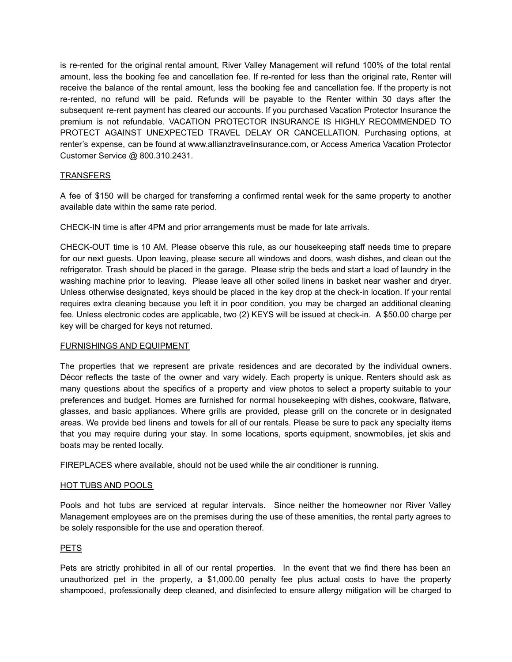is re-rented for the original rental amount, River Valley Management will refund 100% of the total rental amount, less the booking fee and cancellation fee. If re-rented for less than the original rate, Renter will receive the balance of the rental amount, less the booking fee and cancellation fee. If the property is not re-rented, no refund will be paid. Refunds will be payable to the Renter within 30 days after the subsequent re-rent payment has cleared our accounts. If you purchased Vacation Protector Insurance the premium is not refundable. VACATION PROTECTOR INSURANCE IS HIGHLY RECOMMENDED TO PROTECT AGAINST UNEXPECTED TRAVEL DELAY OR CANCELLATION. Purchasing options, at renter's expense, can be found at [www.allianztravelinsurance.com,](http://www.allianztravelinsurance.com) or Access America Vacation Protector Customer Service @ 800.310.2431.

## **TRANSFERS**

A fee of \$150 will be charged for transferring a confirmed rental week for the same property to another available date within the same rate period.

CHECK-IN time is after 4PM and prior arrangements must be made for late arrivals.

CHECK-OUT time is 10 AM. Please observe this rule, as our housekeeping staff needs time to prepare for our next guests. Upon leaving, please secure all windows and doors, wash dishes, and clean out the refrigerator. Trash should be placed in the garage. Please strip the beds and start a load of laundry in the washing machine prior to leaving. Please leave all other soiled linens in basket near washer and dryer. Unless otherwise designated, keys should be placed in the key drop at the check-in location. If your rental requires extra cleaning because you left it in poor condition, you may be charged an additional cleaning fee. Unless electronic codes are applicable, two (2) KEYS will be issued at check-in. A \$50.00 charge per key will be charged for keys not returned.

#### FURNISHINGS AND EQUIPMENT

The properties that we represent are private residences and are decorated by the individual owners. Décor reflects the taste of the owner and vary widely. Each property is unique. Renters should ask as many questions about the specifics of a property and view photos to select a property suitable to your preferences and budget. Homes are furnished for normal housekeeping with dishes, cookware, flatware, glasses, and basic appliances. Where grills are provided, please grill on the concrete or in designated areas. We provide bed linens and towels for all of our rentals. Please be sure to pack any specialty items that you may require during your stay. In some locations, sports equipment, snowmobiles, jet skis and boats may be rented locally.

FIREPLACES where available, should not be used while the air conditioner is running.

#### HOT TUBS AND POOLS

Pools and hot tubs are serviced at regular intervals. Since neither the homeowner nor River Valley Management employees are on the premises during the use of these amenities, the rental party agrees to be solely responsible for the use and operation thereof.

#### PETS

Pets are strictly prohibited in all of our rental properties. In the event that we find there has been an unauthorized pet in the property, a \$1,000.00 penalty fee plus actual costs to have the property shampooed, professionally deep cleaned, and disinfected to ensure allergy mitigation will be charged to